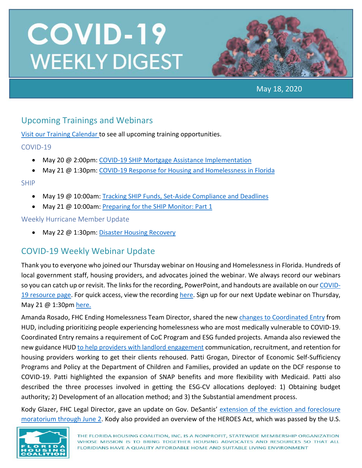

May 18, 2020

## Upcoming Trainings and Webinars

[Visit our Training Calendar](https://www.flhousing.org/events/) to see all upcoming training opportunities.

### COVID-19

- May 20 @ 2:00pm[: COVID-19 SHIP Mortgage Assistance Implementation](https://attendee.gotowebinar.com/register/620374553799087627)
- May 21 @ 1:30pm[: COVID-19 Response for Housing and Homelessness in Florida](https://attendee.gotowebinar.com/register/1906777868777321742)

#### SHIP

- May 19 @ 10:00am: [Tracking SHIP Funds, Set-Aside Compliance and Deadlines](https://register.gotowebinar.com/register/7427556588287691010)
- May 21 @ 10:00am: [Preparing for the SHIP Monitor: Part 1](https://register.gotowebinar.com/register/2930146117267720203)

#### Weekly Hurricane Member Update

May 22 @ 1:30pm[: Disaster Housing Recovery](https://register.gotowebinar.com/register/7909283422864670987)

## COVID-19 Weekly Webinar Update

Thank you to everyone who joined our Thursday webinar on Housing and Homelessness in Florida. Hundreds of local government staff, housing providers, and advocates joined the webinar. We always record our webinars so you can catch up or revisit. The links for the recording, PowerPoint, and handouts are available on our [COVID-](https://www.flhousing.org/covid-19-housing-related-resources/)[19 resource page.](https://www.flhousing.org/covid-19-housing-related-resources/) For quick access, view the recording [here.](https://vimeo.com/418629199) Sign up for our next Update webinar on Thursday, May 21 @ 1:30pm [here.](https://attendee.gotowebinar.com/register/1906777868777321742)

Amanda Rosado, FHC Ending Homelessness Team Director, shared the new [changes to Coordinated Entry](https://files.hudexchange.info/resources/documents/Changes-to-Coordinated-Entry-Prioritization-to-Support-and-Respond-to-COVID-19.pdf) from HUD, including prioritizing people experiencing homelessness who are most medically vulnerable to COVID-19. Coordinated Entry remains a requirement of CoC Program and ESG funded projects. Amanda also reviewed the new guidance HUD [to help providers with](https://files.hudexchange.info/resources/documents/COVID-19-Landlord-Engagement-Reset-Your-Communitys-Critical-Partnerships-During-COVID-Response.pdf) landlord engagement communication, recruitment, and retention for housing providers working to get their clients rehoused. Patti Grogan, Director of Economic Self-Sufficiency Programs and Policy at the Department of Children and Families, provided an update on the DCF response to COVID-19. Patti highlighted the expansion of SNAP benefits and more flexibility with Medicaid. Patti also described the three processes involved in getting the ESG-CV allocations deployed: 1) Obtaining budget authority; 2) Development of an allocation method; and 3) the Substantial amendment process.

Kody Glazer, FHC Legal Director, gave an update on Gov. DeSantis' extension of the eviction and foreclosure [moratorium through June 2.](https://www.flgov.com/wp-content/uploads/orders/2020/EO_20-121.pdf) Kody also provided an overview of the HEROES Act, which was passed by the U.S.

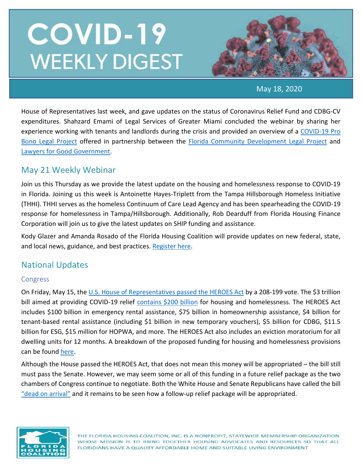

May 18, 2020

House of Representatives last week, and gave updates on the status of Coronavirus Relief Fund and CDBG-CV expenditures. Shahzard Emami of Legal Services of Greater Miami concluded the webinar by sharing her experience working with tenants and landlords during the crisis and provided an overview of a [COVID-19 Pro](https://www.lawyersforgoodgovernment.org/covid-small-business-florida-client-intake)  [Bono Legal Project](https://www.lawyersforgoodgovernment.org/covid-small-business-florida-client-intake) offered in partnership between the [Florida Community Development Legal Project](https://www.flcommunitydevelopment.org/) and Lawyers for Good Government.

## May 21 Weekly Webinar

Join us this Thursday as we provide the latest update on the housing and homelessness response to COVID-19 in Florida. Joining us this week is Antoinette Hayes-Triplett from the Tampa Hillsborough Homeless Initiative (THHI). THHI serves as the homeless Continuum of Care Lead Agency and has been spearheading the COVID-19 response for homelessness in Tampa/Hillsborough. Additionally, Rob Dearduff from Florida Housing Finance Corporation will join us to give the latest updates on SHIP funding and assistance.

Kody Glazer and Amanda Rosado of the Florida Housing Coalition will provide updates on new federal, state, and local news, guidance, and best practices. [Register here.](https://attendee.gotowebinar.com/register/1906777868777321742)

## National Updates

#### Congress

On Friday, May 15, the [U.S. House of Representatives passed the HEROES Act](https://www.businessinsider.com/house-passes-coronavirus-relief-bill-dubbed-heroes-act-2020-5) by a 208-199 vote. The \$3 trillion bill aimed at providing COVID-19 relief [contains \\$200 billion](https://nlihc.org/resource/overview-housing-and-homeless-provisions-heroes-act) for housing and homelessness. The HEROES Act includes \$100 billion in emergency rental assistance, \$75 billion in homeownership assistance, \$4 billion for tenant-based rental assistance (including \$1 billion in new temporary vouchers), \$5 billion for CDBG, \$11.5 billion for ESG, \$15 million for HOPWA, and more. The HEROES Act also includes an eviction moratorium for all dwelling units for 12 months. A breakdown of the proposed funding for housing and homelessness provisions can be found [here.](https://nlihc.org/resource/overview-housing-and-homeless-provisions-heroes-act)

Although the House passed the HEROES Act, that does not mean this money will be appropriated – the bill still must pass the Senate. However, we may seem some or all of this funding in a future relief package as the two chambers of Congress continue to negotiate. Both the White House and Senate Republicans have called the bill ["dead on arrival"](https://www.forbes.com/sites/sergeiklebnikov/2020/05/16/republicans-appalled-by-3-trillion-heroes-act-as-democrats-urge-its-passing/#37cc742d7599) and it remains to be seen how a follow-up relief package will be appropriated.



THE FLORIDA HOUSING COALITION, INC. IS A NONPROFIT, STATEWIDE MEMBERSHIP ORGANIZATION WHOSE MISSION IS TO BRING TOGETHER HOUSING ADVOCATES AND RESOURCES SO THAT ALL FLORIDIANS HAVE A QUALITY AFFORDABLE HOME AND SUITABLE LIVING ENVIRONMENT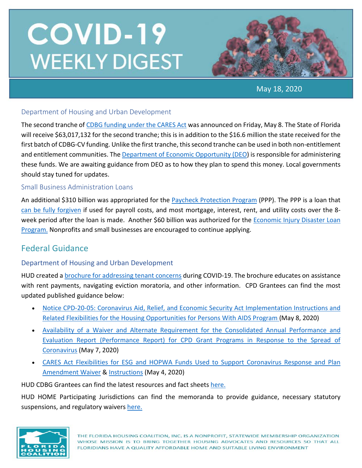

May 18, 2020

#### Department of Housing and Urban Development

The second tranche of [CDBG funding under the CARES Act](https://www.hud.gov/program_offices/comm_planning/budget/fy20/) was announced on Friday, May 8. The State of Florida will receive \$63,017,132 for the second tranche; this is in addition to the \$16.6 million the state received for the first batch of CDBG-CV funding. Unlike the first tranche, this second tranche can be used in both non-entitlement and entitlement communities. Th[e Department of Economic Opportunity \(DEO\)](https://floridajobs.org/community-planning-and-development/assistance-for-governments-and-organizations/community-development-block-grant-program) is responsible for administering these funds. We are awaiting guidance from DEO as to how they plan to spend this money. Local governments should stay tuned for updates.

#### Small Business Administration Loans

An additional \$310 billion was appropriated for the [Paycheck Protection Program](https://www.sba.gov/funding-programs/loans/coronavirus-relief-options/paycheck-protection-program) (PPP). The PPP is a loan that [can be fully forgiven](https://home.treasury.gov/system/files/136/PPP--Fact-Sheet.pdf) if used for payroll costs, and most mortgage, interest, rent, and utility costs over the 8 week period after the loan is made. Another \$60 billion was authorized for the [Economic Injury Disaster Loan](https://www.benefits.gov/benefit/1504)  [Program.](https://www.benefits.gov/benefit/1504) Nonprofits and small businesses are encouraged to continue applying.

## Federal Guidance

#### Department of Housing and Urban Development

HUD created a [brochure for addressing tenant concerns](https://www.hud.gov/sites/dfiles/Housing/documents/MF_Tenant_Concerns_COVID-19_Brochure.pdf?utm_source=NLIHC+All+Subscribers&utm_campaign=4e1d2f5335-DHRC-5.1.2020-update&utm_medium=email&utm_term=0_e090383b5e-4e1d2f5335-293269037&ct=t(DHRC-5.1.202) during COVID-19. The brochure educates on assistance with rent payments, navigating eviction moratoria, and other information. CPD Grantees can find the most updated published guidance below:

- [Notice CPD-20-05: Coronavirus Aid, Relief, and Economic Security Act Implementation Instructions and](https://www.hud.gov/sites/dfiles/OCHCO/documents/2020-05cpdn.pdf)  [Related Flexibilities for the Housing Opportunities for Persons With AIDS Program](https://www.hud.gov/sites/dfiles/OCHCO/documents/2020-05cpdn.pdf) (May 8, 2020)
- [Availability of a Waiver and Alternate Requirement for the Consolidated Annual Performance and](https://www.hud.gov/sites/dfiles/CPD/documents/CPD-COVID-19-CAPER-Waiver-050420-signed-JG.pdf)  [Evaluation Report \(Performance Report\) for CPD Grant Programs in Response to the Spread of](https://www.hud.gov/sites/dfiles/CPD/documents/CPD-COVID-19-CAPER-Waiver-050420-signed-JG.pdf)  [Coronavirus](https://www.hud.gov/sites/dfiles/CPD/documents/CPD-COVID-19-CAPER-Waiver-050420-signed-JG.pdf) (May 7, 2020)
- [CARES Act Flexibilities for ESG and HOPWA Funds Used to Support Coronavirus Response and Plan](https://www.hud.gov/sites/dfiles/CPD/documents/ESG_CV_HOPWA_CV_Memo_FINAL_OHHSNAPS_JG_signed_508.pdf)  [Amendment Waiver](https://www.hud.gov/sites/dfiles/CPD/documents/ESG_CV_HOPWA_CV_Memo_FINAL_OHHSNAPS_JG_signed_508.pdf) & [Instructions](https://www.hud.gov/sites/dfiles/CPD/documents/Setting_Up_a_CARES_Substantial_Amendment_with_Conplan_Addendum.pdf) (May 4, 2020)

HUD CDBG Grantees can find the latest resources and fact sheets [here.](https://www.hud.gov/program_offices/comm_planning/cdbg_programs_covid-19)

HUD HOME Participating Jurisdictions can find the memoranda to provide guidance, necessary statutory suspensions, and regulatory waivers [here.](https://www.hudexchange.info/news/hud-issues-memoranda-on-suspensions-and-waivers-for-home-program-covid-19-response/)

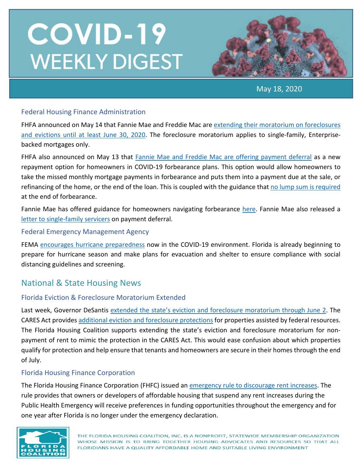

May 18, 2020

#### Federal Housing Finance Administration

FHFA announced on May 14 that Fannie Mae and Freddie Mac ar[e extending their moratorium on foreclosures](https://www.fhfa.gov/Media/PublicAffairs/Pages/FHFA-Extends-Foreclosure-and-Eviction-Moratorium.aspx?utm_source=NLIHC+All+Subscribers&utm_campaign=54a7baff20-DHRC-5.1.2020-update_COPY_01&utm_medium=email&utm_term=0_e090383b5e-54a7baff20-293269037&)  [and evictions until at least June 30, 2020.](https://www.fhfa.gov/Media/PublicAffairs/Pages/FHFA-Extends-Foreclosure-and-Eviction-Moratorium.aspx?utm_source=NLIHC+All+Subscribers&utm_campaign=54a7baff20-DHRC-5.1.2020-update_COPY_01&utm_medium=email&utm_term=0_e090383b5e-54a7baff20-293269037&) The foreclosure moratorium applies to single-family, Enterprisebacked mortgages only.

FHFA also announced on May 13 that [Fannie Mae and Freddie Mac are offering payment deferral](https://www.fhfa.gov/Media/PublicAffairs/Pages/FHFA-Announces-Payment-Deferral-as-New-Repayment-Option-for-Homeowners-in-COVID-19-Forbearance-Plans.aspx?utm_source=NLIHC+All+Subscribers&utm_campaign=54a7baff20-DHRC-5.1.2020-update_COPY_01&utm_medi) as a new repayment option for homeowners in COVID-19 forbearance plans. This option would allow homeowners to take the missed monthly mortgage payments in forbearance and puts them into a payment due at the sale, or refinancing of the home, or the end of the loan. This is coupled with the guidance tha[t no lump sum is required](https://www.fhfa.gov/Media/PublicAffairs/Pages/No-Lump-Sum-Required-at-the-End-of-Forbearance-says-FHFAs-Calabria.aspx) at the end of forbearance.

Fannie Mae has offered guidance for homeowners navigating forbearance [here.](https://www.fanniemae.com/portal/media/corporate-news/2020/covid-19-mortgage-options-7010.html) Fannie Mae also released a [letter to single-family servicers](https://singlefamily.fanniemae.com/media/22916/display?utm_source=NLIHC+All+Subscribers&utm_campaign=54a7baff20-DHRC-5.1.2020-update_COPY_01&utm_medium=email&utm_term=0_e090383b5e-54a7baff20-293269037&ct=t(DHRC-5.1.2020-update_COPY_01)) on payment deferral.

#### Federal Emergency Management Agency

FEMA [encourages hurricane preparedness](https://www.fema.gov/news-release/2020/05/05/case-you-missed-it-fema-encourages-hurricane-preparedness-now-covid-19) now in the COVID-19 environment. Florida is already beginning to prepare for hurricane season and make plans for evacuation and shelter to ensure compliance with social distancing guidelines and screening.

## National & State Housing News

#### Florida Eviction & Foreclosure Moratorium Extended

Last week, Governor DeSantis [extended the state's eviction and foreclosure moratorium through June 2.](https://www.flgov.com/wp-content/uploads/orders/2020/EO_20-121.pdf) The CARES Act provides [additional eviction and foreclosure protections](https://www.nhlp.org/wp-content/uploads/2020.03.27-NHLP-CARES-Act-Eviction-Moratorium-Summary.pdf) for properties assisted by federal resources. The Florida Housing Coalition supports extending the state's eviction and foreclosure moratorium for nonpayment of rent to mimic the protection in the CARES Act. This would ease confusion about which properties qualify for protection and help ensure that tenants and homeowners are secure in their homes through the end of July.

### Florida Housing Finance Corporation

The Florida Housing Finance Corporation (FHFC) issued an [emergency rule to discourage rent increases.](https://www.floridahousing.org/docs/default-source/programs/competitive/notice-of-emergency-rule-67er20-1.pdf?sfvrsn=ada2fc7b_4) The rule provides that owners or developers of affordable housing that suspend any rent increases during the Public Health Emergency will receive preferences in funding opportunities throughout the emergency and for one year after Florida is no longer under the emergency declaration.

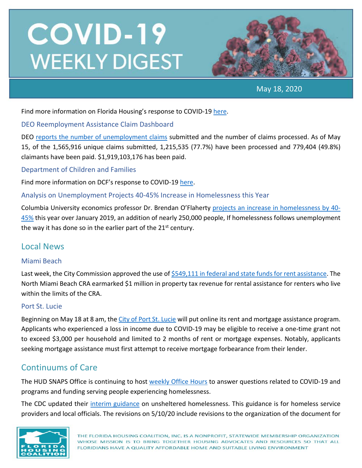

May 18, 2020

Find more information on Florida Housing's response to COVID-19 [here.](https://lnks.gd/l/eyJhbGciOiJIUzI1NiJ9.eyJidWxsZXRpbl9saW5rX2lkIjoxNTIsInVyaSI6ImJwMjpjbGljayIsImJ1bGxldGluX2lkIjoiMjAyMDA0MTkuMjAzNTg3NzEiLCJ1cmwiOiJodHRwczovL2xua3MuZ2QvbC9leUpoYkdjaU9pSklVekkxTmlKOS5leUppZFd4c1pYUnBibDlzYVc1clgybGtJam94TmpZc0luVnlhU0k2SW1Kd01qcGpiR2xqYXlJc0ltSjFiR3hsZEdsdVgybGtJam9pTWpBeU1EQTBNVGd1TWpBek16STNPREVpTENKMWNtd2lPaUpvZEhSd2N6b3ZMM2QzZHk1bWJHOXlhV1JoYUc5MWMybHVaeTV2Y21jdllXSnZkWFF0Wm14dmNtbGtZUzFvYjNWemFXNW5MMk52ZG1sa0xURTVMV2x1Wm05eWJXRjBhVzl1TFdGdVpDMXlaWE52ZFhKalpYTWlmUS54eFRmbnRpcUpYak9GUlVkSWpGdlZaay03aVlndGdQd0RLSjFGQUlHMFdzL2JyLzc3NTg0MTE2OTk0LWwifQ.0nwdluHYvuIcuAJMikGJw-OFR2cGPw74S98_63Da4Nc/br/77596542240-l)

#### DEO Reemployment Assistance Claim Dashboard

DEO reports [the number of unemployment claims](http://lmsresources.labormarketinfo.com/covid19/index.html) submitted and the number of claims processed. As of May 15, of the 1,565,916 unique claims submitted, 1,215,535 (77.7%) have been processed and 779,404 (49.8%) claimants have been paid. \$1,919,103,176 has been paid.

#### Department of Children and Families

Find more information on DCF's response to COVID-19 [here.](https://lnks.gd/l/eyJhbGciOiJIUzI1NiJ9.eyJidWxsZXRpbl9saW5rX2lkIjoxMDUsInVyaSI6ImJwMjpjbGljayIsImJ1bGxldGluX2lkIjoiMjAyMDA0MjQuMjA2MzkzMTEiLCJ1cmwiOiJodHRwczovL3d3dy5teWZsZmFtaWxpZXMuY29tL2NvdmlkMTkvIn0.EATecvOpfQk6trk8L6BcWf0NHHqN-eSO24OO4t_XgnE/br/77839344424-l)

#### Analysis on Unemployment Projects 40-45% Increase in Homelessness this Year

Columbia University economics professor Dr. Brendan O'Flaherty [projects an increase in homelessness by 40-](https://community.solutions/analysis-on-unemployment-projects-40-45-increase-in-homelessness-this-year/?utm_source=NLIHC+All+Subscribers&utm_campaign=54a7baff20-DHRC-5.1.2020-update_COPY_01&utm_medium=email&utm_term=0_e090383b5e-54a7baff20-2932690) [45%](https://community.solutions/analysis-on-unemployment-projects-40-45-increase-in-homelessness-this-year/?utm_source=NLIHC+All+Subscribers&utm_campaign=54a7baff20-DHRC-5.1.2020-update_COPY_01&utm_medium=email&utm_term=0_e090383b5e-54a7baff20-2932690) this year over January 2019, an addition of nearly 250,000 people, If homelessness follows unemployment the way it has done so in the earlier part of the  $21<sup>st</sup>$  century.

## Local News

#### Miami Beach

Last week, the City Commission approved the use of [\\$549,111 in federal and state funds for rent assistance.](https://www.miamiherald.com/news/local/community/miami-dade/miami-beach/article242740811.html) The North Miami Beach CRA earmarked \$1 million in property tax revenue for rental assistance for renters who live within the limits of the CRA.

#### Port St. Lucie

Beginning on May 18 at 8 am, th[e City of Port St. Lucie](https://www.cityofpsl.com/government/departments/neighborhood-services/community-services-grants/covid-19-emergency-rental-mortgage-assistance) will put online its rent and mortgage assistance program. Applicants who experienced a loss in income due to COVID-19 may be eligible to receive a one-time grant not to exceed \$3,000 per household and limited to 2 months of rent or mortgage expenses. Notably, applicants seeking mortgage assistance must first attempt to receive mortgage forbearance from their lender.

## Continuums of Care

The HUD SNAPS Office is continuing to host [weekly Office Hours](https://www.hudexchange.info/news/office-hours-covid-19-planning-response-for-homeless-assistance-providers-fridays/) to answer questions related to COVID-19 and programs and funding serving people experiencing homelessness.

The CDC updated their [interim guidance](https://www.cdc.gov/coronavirus/2019-ncov/community/homeless-shelters/unsheltered-homelessness.html) on unsheltered homelessness. This guidance is for homeless service providers and local officials. The revisions on 5/10/20 include revisions to the organization of the document for